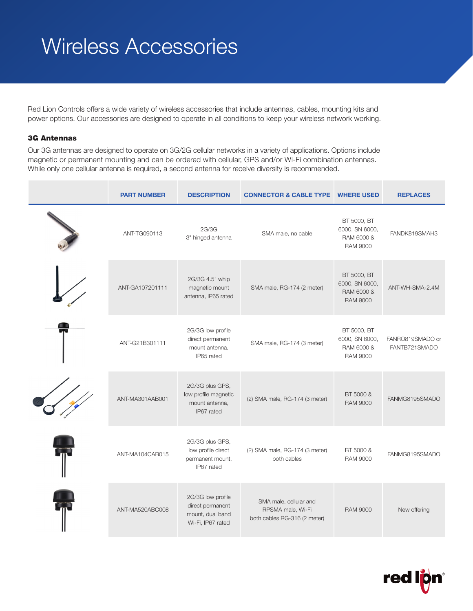# Wireless Accessories

Red Lion Controls offers a wide variety of wireless accessories that include antennas, cables, mounting kits and power options. Our accessories are designed to operate in all conditions to keep your wireless network working.

### 3G Antennas

Our 3G antennas are designed to operate on 3G/2G cellular networks in a variety of applications. Options include magnetic or permanent mounting and can be ordered with cellular, GPS and/or Wi-Fi combination antennas. While only one cellular antenna is required, a second antenna for receive diversity is recommended.

| <b>PART NUMBER</b> | <b>DESCRIPTION</b>                                                             | <b>CONNECTOR &amp; CABLE TYPE WHERE USED</b>                                |                                                                | <b>REPLACES</b>                   |
|--------------------|--------------------------------------------------------------------------------|-----------------------------------------------------------------------------|----------------------------------------------------------------|-----------------------------------|
| ANT-TG090113       | 2G/3G<br>3" hinged antenna                                                     | SMA male, no cable                                                          | BT 5000, BT<br>6000, SN 6000,<br>RAM 6000 &<br><b>RAM 9000</b> | FANDK819SMAH3                     |
| ANT-GA107201111    | 2G/3G 4.5" whip<br>magnetic mount<br>antenna, IP65 rated                       | SMA male, RG-174 (2 meter)                                                  | BT 5000, BT<br>6000, SN 6000,<br>RAM 6000 &<br><b>RAM 9000</b> | ANT-WH-SMA-2.4M                   |
| ANT-G21B301111     | 2G/3G low profile<br>direct permanent<br>mount antenna,<br>IP65 rated          | SMA male, RG-174 (3 meter)                                                  | BT 5000, BT<br>6000, SN 6000,<br>RAM 6000 &<br><b>RAM 9000</b> | FANRO819SMADO or<br>FANTB721SMADO |
| ANT-MA301AAB001    | 2G/3G plus GPS,<br>low profile magnetic<br>mount antenna,<br>IP67 rated        | (2) SMA male, RG-174 (3 meter)                                              | BT 5000 &<br><b>RAM 9000</b>                                   | FANMG8195SMADO                    |
| ANT-MA104CAB015    | 2G/3G plus GPS,<br>low profile direct<br>permanent mount,<br>IP67 rated        | (2) SMA male, RG-174 (3 meter)<br>both cables                               | BT 5000 &<br><b>RAM 9000</b>                                   | FANMG8195SMADO                    |
| ANT-MA520ABC008    | 2G/3G low profile<br>direct permanent<br>mount, dual band<br>Wi-Fi, IP67 rated | SMA male, cellular and<br>RPSMA male, Wi-Fi<br>both cables RG-316 (2 meter) | <b>RAM 9000</b>                                                | New offering                      |

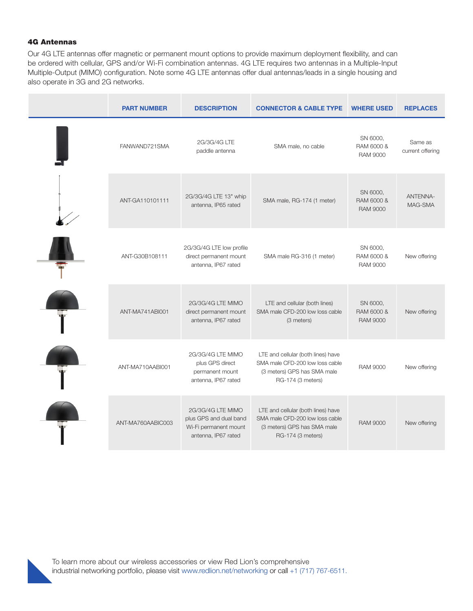#### 4G Antennas

Our 4G LTE antennas offer magnetic or permanent mount options to provide maximum deployment flexibility, and can be ordered with cellular, GPS and/or Wi-Fi combination antennas. 4G LTE requires two antennas in a Multiple-Input Multiple-Output (MIMO) configuration. Note some 4G LTE antennas offer dual antennas/leads in a single housing and also operate in 3G and 2G networks.

| <b>PART NUMBER</b> | <b>DESCRIPTION</b>                                                                          | <b>CONNECTOR &amp; CABLE TYPE</b>                                                                                         | <b>WHERE USED</b>                         | <b>REPLACES</b>             |
|--------------------|---------------------------------------------------------------------------------------------|---------------------------------------------------------------------------------------------------------------------------|-------------------------------------------|-----------------------------|
| FANWAND721SMA      | 2G/3G/4G LTE<br>paddle antenna                                                              | SMA male, no cable                                                                                                        | SN 6000.<br>RAM 6000 &<br><b>RAM 9000</b> | Same as<br>current offering |
| ANT-GA110101111    | 2G/3G/4G LTE 13" whip<br>antenna, IP65 rated                                                | SMA male, RG-174 (1 meter)                                                                                                | SN 6000,<br>RAM 6000 &<br><b>RAM 9000</b> | <b>ANTENNA-</b><br>MAG-SMA  |
| ANT-G30B108111     | 2G/3G/4G LTE low profile<br>direct permanent mount<br>antenna, IP67 rated                   | SMA male RG-316 (1 meter)                                                                                                 | SN 6000,<br>RAM 6000 &<br><b>RAM 9000</b> | New offering                |
| ANT-MA741ABI001    | 2G/3G/4G LTE MIMO<br>direct permanent mount<br>antenna, IP67 rated                          | LTE and cellular (both lines)<br>SMA male CFD-200 low loss cable<br>(3 meters)                                            | SN 6000,<br>RAM 6000 &<br><b>RAM 9000</b> | New offering                |
| ANT-MA710AABI001   | 2G/3G/4G LTE MIMO<br>plus GPS direct<br>permanent mount<br>antenna, IP67 rated              | LTE and cellular (both lines) have<br>SMA male CFD-200 low loss cable<br>(3 meters) GPS has SMA male<br>RG-174 (3 meters) | <b>RAM 9000</b>                           | New offering                |
| ANT-MA760AABIC003  | 2G/3G/4G LTE MIMO<br>plus GPS and dual band<br>Wi-Fi permanent mount<br>antenna, IP67 rated | LTE and cellular (both lines) have<br>SMA male CFD-200 low loss cable<br>(3 meters) GPS has SMA male<br>RG-174 (3 meters) | <b>RAM 9000</b>                           | New offering                |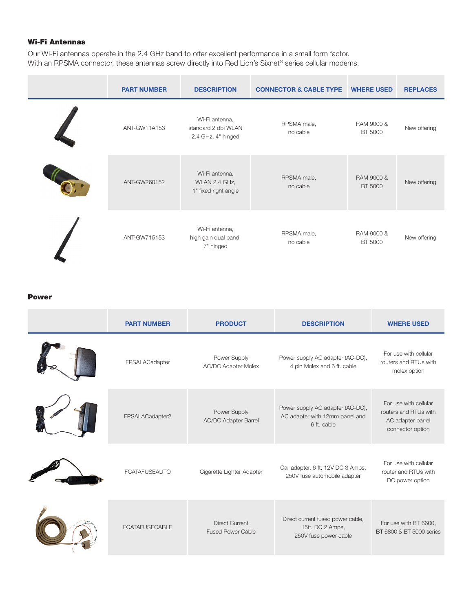## Wi-Fi Antennas

Our Wi-Fi antennas operate in the 2.4 GHz band to offer excellent performance in a small form factor. With an RPSMA connector, these antennas screw directly into Red Lion's Sixnet<sup>®</sup> series cellular modems.

| <b>PART NUMBER</b> | <b>DESCRIPTION</b>                                          | <b>CONNECTOR &amp; CABLE TYPE</b> | <b>WHERE USED</b>     | <b>REPLACES</b> |
|--------------------|-------------------------------------------------------------|-----------------------------------|-----------------------|-----------------|
| ANT-GW11A153       | Wi-Fi antenna,<br>standard 2 dbi WLAN<br>2.4 GHz, 4" hinged | RPSMA male,<br>no cable           | RAM 9000 &<br>BT 5000 | New offering    |
| ANT-GW260152       | Wi-Fi antenna,<br>WLAN 2.4 GHz,<br>1" fixed right angle     | RPSMA male,<br>no cable           | RAM 9000 &<br>BT 5000 | New offering    |
| ANT-GW715153       | Wi-Fi antenna,<br>high gain dual band,<br>7" hinged         | RPSMA male,<br>no cable           | RAM 9000 &<br>BT 5000 | New offering    |

#### Power

| <b>PART NUMBER</b>    | <b>PRODUCT</b>                                    | <b>DESCRIPTION</b>                                                                 | <b>WHERE USED</b>                                                                       |
|-----------------------|---------------------------------------------------|------------------------------------------------------------------------------------|-----------------------------------------------------------------------------------------|
| FPSALACadapter        | Power Supply<br><b>AC/DC Adapter Molex</b>        | Power supply AC adapter (AC-DC),<br>4 pin Molex and 6 ft. cable                    | For use with cellular<br>routers and RTUs with<br>molex option                          |
| FPSALACadapter2       | Power Supply<br>AC/DC Adapter Barrel              | Power supply AC adapter (AC-DC),<br>AC adapter with 12mm barrel and<br>6 ft. cable | For use with cellular<br>routers and RTUs with<br>AC adapter barrel<br>connector option |
| <b>FCATAFUSEAUTO</b>  | Cigarette Lighter Adapter                         | Car adapter, 6 ft. 12V DC 3 Amps,<br>250V fuse automobile adapter                  | For use with cellular<br>router and RTUs with<br>DC power option                        |
| <b>FCATAFUSECABLE</b> | <b>Direct Current</b><br><b>Fused Power Cable</b> | Direct current fused power cable,<br>15ft. DC 2 Amps,<br>250V fuse power cable     | For use with BT 6600,<br>BT 6800 & BT 5000 series                                       |